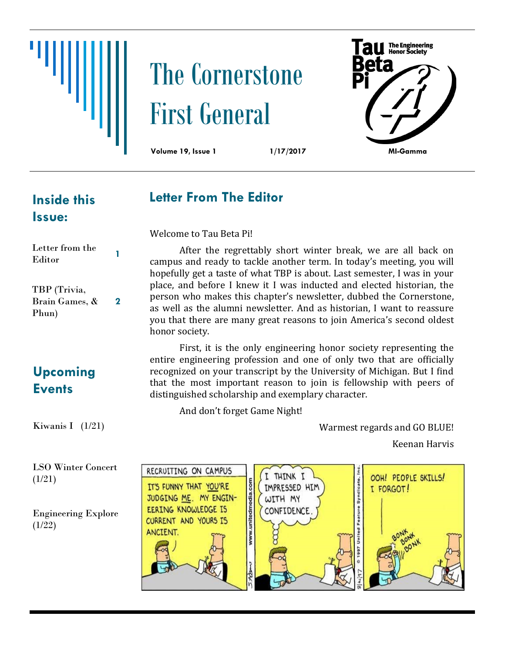

# The Cornerstone First General



#### **Inside this Issue:**

Letter from the

#### **Letter From The Editor**

Welcome to Tau Beta Pi!

| пена поштин<br>Editor          |   |
|--------------------------------|---|
| TBP (Trivia,<br>Brain Games, & | 2 |
| Phun)                          |   |

After the regrettably short winter break, we are all back on campus and ready to tackle another term. In today's meeting, you will hopefully get a taste of what TBP is about. Last semester, I was in your place, and before I knew it I was inducted and elected historian, the person who makes this chapter's newsletter, dubbed the Cornerstone, as well as the alumni newsletter. And as historian, I want to reassure you that there are many great reasons to join America's second oldest honor society.

### **Upcoming Events**

(1/21)

(1/22)

Kiwanis I (1/21)

First, it is the only engineering honor society representing the entire engineering profession and one of only two that are officially recognized on your transcript by the University of Michigan. But I find that the most important reason to join is fellowship with peers of distinguished scholarship and exemplary character.

And don't forget Game Night!

Warmest regards and GO BLUE!

Keenan Harvis

LSO Winter Concert RECRUITING ON CAMPUS THINK I OOH! PEOPLE SKILLS! www.unitedmedia.com IT'S FUNNY THAT YOU'RE **IMPRESSED HIM** I FORGOT! JUDGING ME. MY ENGIN-WITH MY EERING KNOWLEDGE IS CONFIDENCE Engineering Explore CURRENT AND YOURS IS ANCIENT.